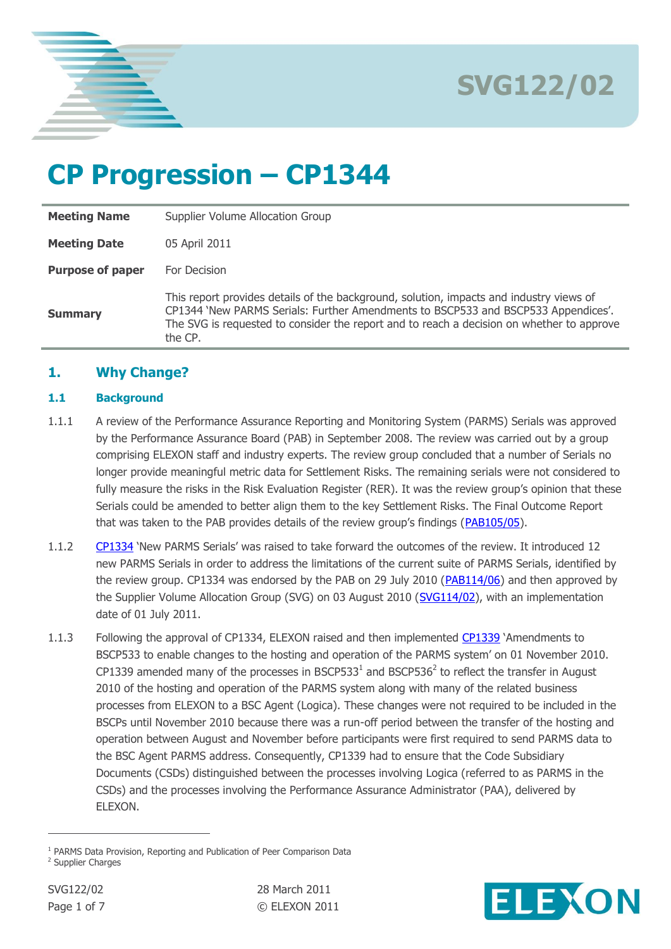

# **CP Progression – CP1344**

| <b>Meeting Name</b>     | Supplier Volume Allocation Group                                                                                                                                                                                                                                                     |
|-------------------------|--------------------------------------------------------------------------------------------------------------------------------------------------------------------------------------------------------------------------------------------------------------------------------------|
| <b>Meeting Date</b>     | 05 April 2011                                                                                                                                                                                                                                                                        |
| <b>Purpose of paper</b> | For Decision                                                                                                                                                                                                                                                                         |
| <b>Summary</b>          | This report provides details of the background, solution, impacts and industry views of<br>CP1344 'New PARMS Serials: Further Amendments to BSCP533 and BSCP533 Appendices'.<br>The SVG is requested to consider the report and to reach a decision on whether to approve<br>the CP. |

### **1. Why Change?**

#### **1.1 Background**

- 1.1.1 A review of the Performance Assurance Reporting and Monitoring System (PARMS) Serials was approved by the Performance Assurance Board (PAB) in September 2008. The review was carried out by a group comprising ELEXON staff and industry experts. The review group concluded that a number of Serials no longer provide meaningful metric data for Settlement Risks. The remaining serials were not considered to fully measure the risks in the Risk Evaluation Register (RER). It was the review group's opinion that these Serials could be amended to better align them to the key Settlement Risks. The Final Outcome Report that was taken to the PAB provides details of the review group's findings ([PAB105/05\)](http://www.elexon.co.uk/ELEXON%20Event%20Documents/pab105_05_parms_serial_review_2009_final_report.pdf).
- 1.1.2 [CP1334](http://www.elexon.co.uk/Pages/CP1334.aspx) "New PARMS Serials" was raised to take forward the outcomes of the review. It introduced 12 new PARMS Serials in order to address the limitations of the current suite of PARMS Serials, identified by the review group. CP1334 was endorsed by the PAB on 29 July 2010 [\(PAB114/06\)](http://www.elexon.co.uk/ELEXON%20Event%20Documents/pab114_06_endorsement_of_cp1334_v2.0.pdf) and then approved by the Supplier Volume Allocation Group (SVG) on 03 August 2010 [\(SVG114/02\)](http://www.elexon.co.uk/ELEXON%20Event%20Documents/svg114_02_and_attachments.zip), with an implementation date of 01 July 2011.
- 1.1.3 Following the approval of CP1334, ELEXON raised and then implemented [CP1339](http://www.elexon.co.uk/Pages/CP1339.aspx) "Amendments to BSCP533 to enable changes to the hosting and operation of the PARMS system" on 01 November 2010. CP1339 amended many of the processes in BSCP533<sup>1</sup> and BSCP536<sup>2</sup> to reflect the transfer in August 2010 of the hosting and operation of the PARMS system along with many of the related business processes from ELEXON to a BSC Agent (Logica). These changes were not required to be included in the BSCPs until November 2010 because there was a run-off period between the transfer of the hosting and operation between August and November before participants were first required to send PARMS data to the BSC Agent PARMS address. Consequently, CP1339 had to ensure that the Code Subsidiary Documents (CSDs) distinguished between the processes involving Logica (referred to as PARMS in the CSDs) and the processes involving the Performance Assurance Administrator (PAA), delivered by ELEXON.

 $\overline{a}$ 



<sup>&</sup>lt;sup>1</sup> PARMS Data Provision, Reporting and Publication of Peer Comparison Data

<sup>&</sup>lt;sup>2</sup> Supplier Charges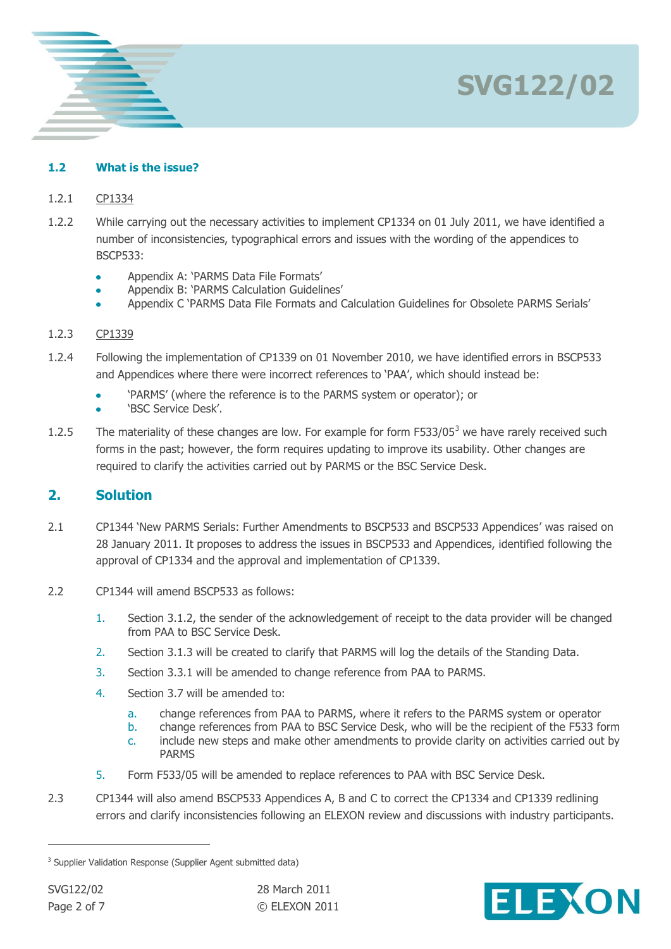



#### 1.2.1 CP1334

- 1.2.2 While carrying out the necessary activities to implement CP1334 on 01 July 2011, we have identified a number of inconsistencies, typographical errors and issues with the wording of the appendices to BSCP533:
	- Appendix A: "PARMS Data File Formats"
	- Appendix B: "PARMS Calculation Guidelines"
	- Appendix C "PARMS Data File Formats and Calculation Guidelines for Obsolete PARMS Serials"

#### 1.2.3 CP1339

- 1.2.4 Following the implementation of CP1339 on 01 November 2010, we have identified errors in BSCP533 and Appendices where there were incorrect references to "PAA", which should instead be:
	- "PARMS" (where the reference is to the PARMS system or operator); or
	- 'BSC Service Desk'.
- 1.2.5 The materiality of these changes are low. For example for form  $F533/05^3$  we have rarely received such forms in the past; however, the form requires updating to improve its usability. Other changes are required to clarify the activities carried out by PARMS or the BSC Service Desk.

# **2. Solution**

- 2.1 CP1344 "New PARMS Serials: Further Amendments to BSCP533 and BSCP533 Appendices" was raised on 28 January 2011. It proposes to address the issues in BSCP533 and Appendices, identified following the approval of CP1334 and the approval and implementation of CP1339.
- 2.2 CP1344 will amend BSCP533 as follows:
	- 1. Section 3.1.2, the sender of the acknowledgement of receipt to the data provider will be changed from PAA to BSC Service Desk.
	- 2. Section 3.1.3 will be created to clarify that PARMS will log the details of the Standing Data.
	- 3. Section 3.3.1 will be amended to change reference from PAA to PARMS.
	- 4. Section 3.7 will be amended to:
		- a. change references from PAA to PARMS, where it refers to the PARMS system or operator
		- b. change references from PAA to BSC Service Desk, who will be the recipient of the F533 form
		- c. include new steps and make other amendments to provide clarity on activities carried out by PARMS
	- 5. Form F533/05 will be amended to replace references to PAA with BSC Service Desk.
- 2.3 CP1344 will also amend BSCP533 Appendices A, B and C to correct the CP1334 and CP1339 redlining errors and clarify inconsistencies following an ELEXON review and discussions with industry participants.

 $\overline{a}$ 



<sup>&</sup>lt;sup>3</sup> Supplier Validation Response (Supplier Agent submitted data)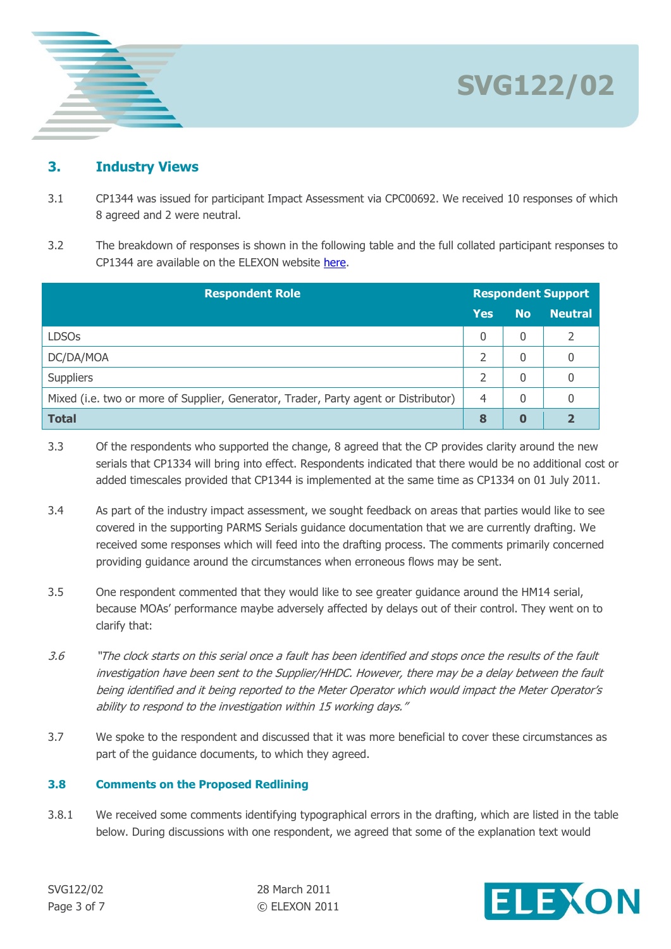

# **3. Industry Views**

- 3.1 CP1344 was issued for participant Impact Assessment via CPC00692. We received 10 responses of which 8 agreed and 2 were neutral.
- 3.2 The breakdown of responses is shown in the following table and the full collated participant responses to CP1344 are available on the ELEXON website [here.](http://www.elexon.co.uk/Pages/CP1344.aspx)

| <b>Respondent Role</b>                                                              |     | <b>Respondent Support</b> |                         |  |
|-------------------------------------------------------------------------------------|-----|---------------------------|-------------------------|--|
|                                                                                     | Yes | <b>No</b>                 | <b>Neutral</b>          |  |
| <b>LDSOs</b>                                                                        | 0   | 0                         |                         |  |
| DC/DA/MOA                                                                           |     | $\Omega$                  | 0                       |  |
| <b>Suppliers</b>                                                                    | つ   | $\Omega$                  | 0                       |  |
| Mixed (i.e. two or more of Supplier, Generator, Trader, Party agent or Distributor) |     | $\Omega$                  | 0                       |  |
| <b>Total</b>                                                                        | 8   | 0                         | $\overline{\mathbf{z}}$ |  |

- 3.3 Of the respondents who supported the change, 8 agreed that the CP provides clarity around the new serials that CP1334 will bring into effect. Respondents indicated that there would be no additional cost or added timescales provided that CP1344 is implemented at the same time as CP1334 on 01 July 2011.
- 3.4 As part of the industry impact assessment, we sought feedback on areas that parties would like to see covered in the supporting PARMS Serials guidance documentation that we are currently drafting. We received some responses which will feed into the drafting process. The comments primarily concerned providing guidance around the circumstances when erroneous flows may be sent.
- 3.5 One respondent commented that they would like to see greater guidance around the HM14 serial, because MOAs" performance maybe adversely affected by delays out of their control. They went on to clarify that:
- 3.6 "The clock starts on this serial once a fault has been identified and stops once the results of the fault investigation have been sent to the Supplier/HHDC. However, there may be a delay between the fault being identified and it being reported to the Meter Operator which would impact the Meter Operator's ability to respond to the investigation within 15 working days."
- 3.7 We spoke to the respondent and discussed that it was more beneficial to cover these circumstances as part of the guidance documents, to which they agreed.

#### **3.8 Comments on the Proposed Redlining**

3.8.1 We received some comments identifying typographical errors in the drafting, which are listed in the table below. During discussions with one respondent, we agreed that some of the explanation text would

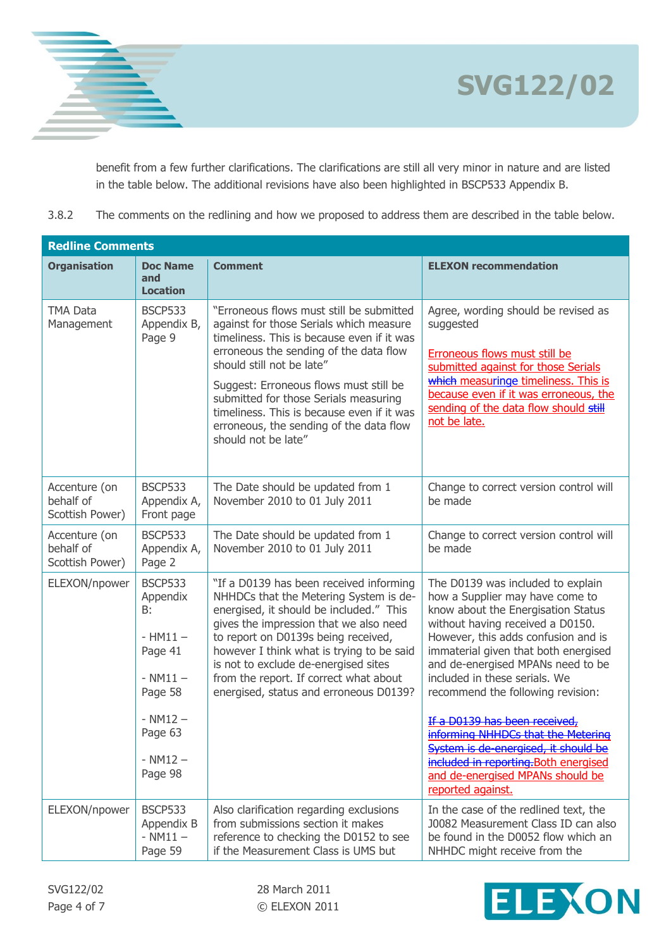

benefit from a few further clarifications. The clarifications are still all very minor in nature and are listed in the table below. The additional revisions have also been highlighted in BSCP533 Appendix B.

**SVG122/02**

3.8.2 The comments on the redlining and how we proposed to address them are described in the table below.

| <b>Redline Comments</b>                       |                                                                                                           |                                                                                                                                                                                                                                                                                                                                                                                                             |                                                                                                                                                                                                                                                                                                                                                                                                                 |  |  |
|-----------------------------------------------|-----------------------------------------------------------------------------------------------------------|-------------------------------------------------------------------------------------------------------------------------------------------------------------------------------------------------------------------------------------------------------------------------------------------------------------------------------------------------------------------------------------------------------------|-----------------------------------------------------------------------------------------------------------------------------------------------------------------------------------------------------------------------------------------------------------------------------------------------------------------------------------------------------------------------------------------------------------------|--|--|
| <b>Organisation</b>                           | <b>Doc Name</b><br>and<br><b>Location</b>                                                                 | <b>Comment</b>                                                                                                                                                                                                                                                                                                                                                                                              | <b>ELEXON recommendation</b>                                                                                                                                                                                                                                                                                                                                                                                    |  |  |
| <b>TMA Data</b><br>Management                 | <b>BSCP533</b><br>Appendix B,<br>Page 9                                                                   | "Erroneous flows must still be submitted<br>against for those Serials which measure<br>timeliness. This is because even if it was<br>erroneous the sending of the data flow<br>should still not be late"<br>Suggest: Erroneous flows must still be<br>submitted for those Serials measuring<br>timeliness. This is because even if it was<br>erroneous, the sending of the data flow<br>should not be late" | Agree, wording should be revised as<br>suggested<br>Erroneous flows must still be<br>submitted against for those Serials<br>which measuringe timeliness. This is<br>because even if it was erroneous, the<br>sending of the data flow should still<br>not be late.                                                                                                                                              |  |  |
| Accenture (on<br>behalf of<br>Scottish Power) | <b>BSCP533</b><br>Appendix A,<br>Front page                                                               | The Date should be updated from 1<br>November 2010 to 01 July 2011                                                                                                                                                                                                                                                                                                                                          | Change to correct version control will<br>be made                                                                                                                                                                                                                                                                                                                                                               |  |  |
| Accenture (on<br>behalf of<br>Scottish Power) | <b>BSCP533</b><br>Appendix A,<br>Page 2                                                                   | The Date should be updated from 1<br>November 2010 to 01 July 2011                                                                                                                                                                                                                                                                                                                                          | Change to correct version control will<br>be made                                                                                                                                                                                                                                                                                                                                                               |  |  |
| ELEXON/npower                                 | <b>BSCP533</b><br>Appendix<br>B:<br>$-HM11-$<br>Page 41<br>$- NM11 -$<br>Page 58<br>$- NM12 -$<br>Page 63 | "If a D0139 has been received informing<br>NHHDCs that the Metering System is de-<br>energised, it should be included." This<br>gives the impression that we also need<br>to report on D0139s being received,<br>however I think what is trying to be said<br>is not to exclude de-energised sites<br>from the report. If correct what about<br>energised, status and erroneous D0139?                      | The D0139 was included to explain<br>how a Supplier may have come to<br>know about the Energisation Status<br>without having received a D0150.<br>However, this adds confusion and is<br>immaterial given that both energised<br>and de-energised MPANs need to be<br>included in these serials. We<br>recommend the following revision:<br>If a D0139 has been received,<br>informing NHHDCs that the Metering |  |  |
|                                               | $- NM12 -$<br>Page 98                                                                                     |                                                                                                                                                                                                                                                                                                                                                                                                             | System is de-energised, it should be<br>included in reporting. Both energised<br>and de-energised MPANs should be<br>reported against.                                                                                                                                                                                                                                                                          |  |  |
| ELEXON/npower                                 | <b>BSCP533</b><br>Appendix B<br>$- NM11 -$<br>Page 59                                                     | Also clarification regarding exclusions<br>from submissions section it makes<br>reference to checking the D0152 to see<br>if the Measurement Class is UMS but                                                                                                                                                                                                                                               | In the case of the redlined text, the<br>J0082 Measurement Class ID can also<br>be found in the D0052 flow which an<br>NHHDC might receive from the                                                                                                                                                                                                                                                             |  |  |

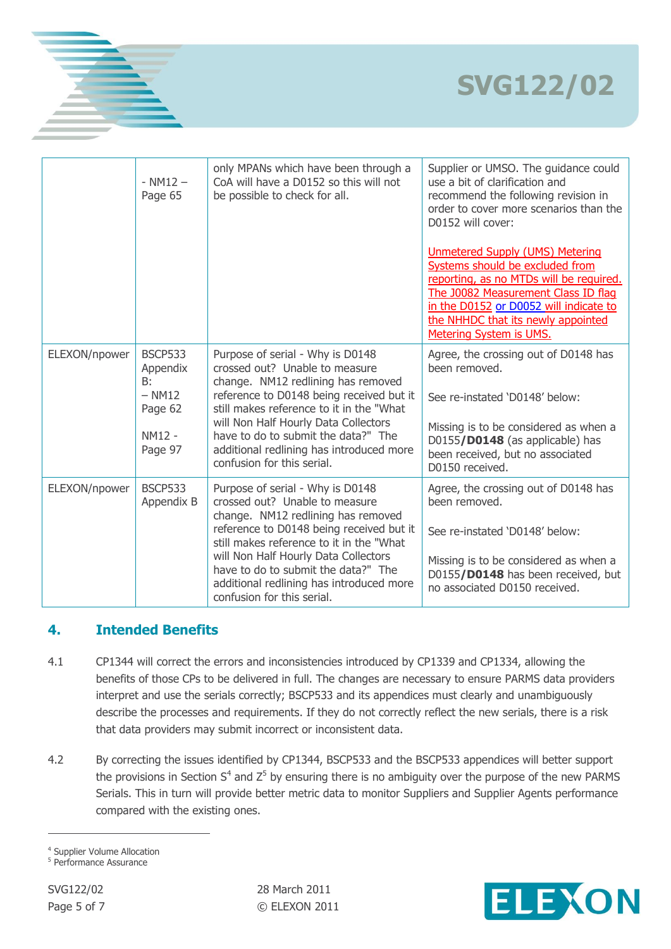

|               | $- NM12 -$<br>Page 65                        | only MPANs which have been through a<br>CoA will have a D0152 so this will not<br>be possible to check for all.                                                                                                                                                                     | Supplier or UMSO. The guidance could<br>use a bit of clarification and<br>recommend the following revision in<br>order to cover more scenarios than the<br>D0152 will cover:<br><b>Unmetered Supply (UMS) Metering</b><br>Systems should be excluded from<br>reporting, as no MTDs will be required.<br>The J0082 Measurement Class ID flag<br>in the D0152 or D0052 will indicate to<br>the NHHDC that its newly appointed<br>Metering System is UMS. |
|---------------|----------------------------------------------|-------------------------------------------------------------------------------------------------------------------------------------------------------------------------------------------------------------------------------------------------------------------------------------|--------------------------------------------------------------------------------------------------------------------------------------------------------------------------------------------------------------------------------------------------------------------------------------------------------------------------------------------------------------------------------------------------------------------------------------------------------|
| ELEXON/npower | <b>BSCP533</b><br>Appendix<br>B:<br>$- NM12$ | Purpose of serial - Why is D0148<br>crossed out? Unable to measure<br>change. NM12 redlining has removed<br>reference to D0148 being received but it                                                                                                                                | Agree, the crossing out of D0148 has<br>been removed.<br>See re-instated 'D0148' below:                                                                                                                                                                                                                                                                                                                                                                |
|               | Page 62<br>NM12 -<br>Page 97                 | still makes reference to it in the "What<br>will Non Half Hourly Data Collectors<br>have to do to submit the data?" The<br>additional redlining has introduced more<br>confusion for this serial.                                                                                   | Missing is to be considered as when a<br>D0155/D0148 (as applicable) has<br>been received, but no associated<br>D0150 received.                                                                                                                                                                                                                                                                                                                        |
| ELEXON/npower | <b>BSCP533</b><br>Appendix B                 | Purpose of serial - Why is D0148<br>crossed out? Unable to measure                                                                                                                                                                                                                  | Agree, the crossing out of D0148 has<br>been removed.                                                                                                                                                                                                                                                                                                                                                                                                  |
|               |                                              | change. NM12 redlining has removed<br>reference to D0148 being received but it<br>still makes reference to it in the "What<br>will Non Half Hourly Data Collectors<br>have to do to submit the data?" The<br>additional redlining has introduced more<br>confusion for this serial. | See re-instated 'D0148' below:                                                                                                                                                                                                                                                                                                                                                                                                                         |
|               |                                              |                                                                                                                                                                                                                                                                                     | Missing is to be considered as when a<br>D0155/D0148 has been received, but<br>no associated D0150 received.                                                                                                                                                                                                                                                                                                                                           |

# **4. Intended Benefits**

- 4.1 CP1344 will correct the errors and inconsistencies introduced by CP1339 and CP1334, allowing the benefits of those CPs to be delivered in full. The changes are necessary to ensure PARMS data providers interpret and use the serials correctly; BSCP533 and its appendices must clearly and unambiguously describe the processes and requirements. If they do not correctly reflect the new serials, there is a risk that data providers may submit incorrect or inconsistent data.
- 4.2 By correcting the issues identified by CP1344, BSCP533 and the BSCP533 appendices will better support the provisions in Section S<sup>4</sup> and Z<sup>5</sup> by ensuring there is no ambiguity over the purpose of the new PARMS Serials. This in turn will provide better metric data to monitor Suppliers and Supplier Agents performance compared with the existing ones.

 $\overline{a}$ 



<sup>4</sup> Supplier Volume Allocation

<sup>5</sup> Performance Assurance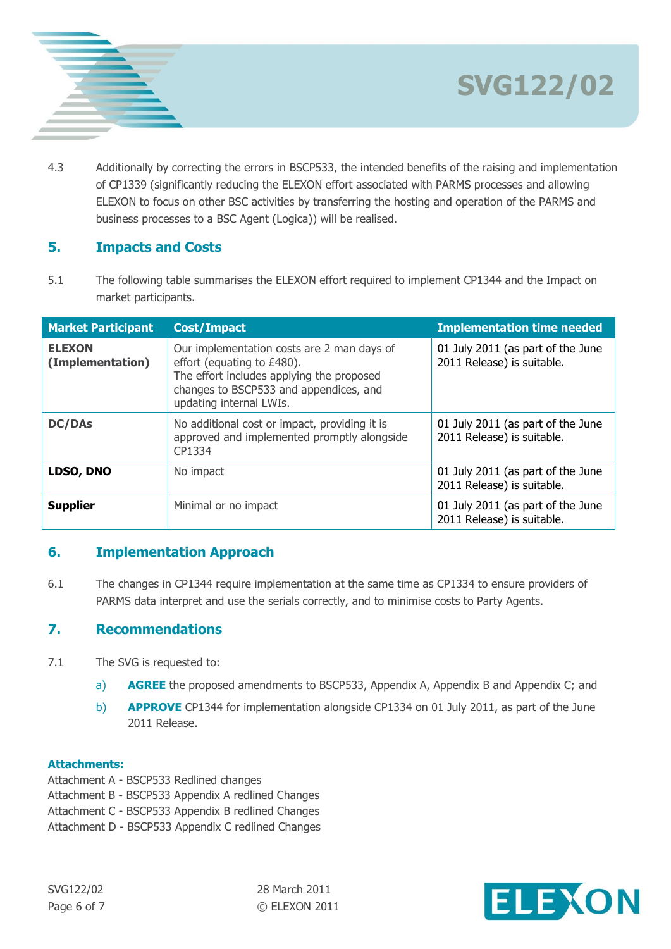

4.3 Additionally by correcting the errors in BSCP533, the intended benefits of the raising and implementation of CP1339 (significantly reducing the ELEXON effort associated with PARMS processes and allowing ELEXON to focus on other BSC activities by transferring the hosting and operation of the PARMS and business processes to a BSC Agent (Logica)) will be realised.

# **5. Impacts and Costs**

5.1 The following table summarises the ELEXON effort required to implement CP1344 and the Impact on market participants.

| <b>Market Participant</b>         | Cost/Impact                                                                                                                                                                                | <b>Implementation time needed</b>                               |
|-----------------------------------|--------------------------------------------------------------------------------------------------------------------------------------------------------------------------------------------|-----------------------------------------------------------------|
| <b>ELEXON</b><br>(Implementation) | Our implementation costs are 2 man days of<br>effort (equating to £480).<br>The effort includes applying the proposed<br>changes to BSCP533 and appendices, and<br>updating internal LWIs. | 01 July 2011 (as part of the June<br>2011 Release) is suitable. |
| <b>DC/DAs</b>                     | No additional cost or impact, providing it is<br>approved and implemented promptly alongside<br>CP1334                                                                                     | 01 July 2011 (as part of the June<br>2011 Release) is suitable. |
| LDSO, DNO                         | No impact                                                                                                                                                                                  | 01 July 2011 (as part of the June<br>2011 Release) is suitable. |
| <b>Supplier</b>                   | Minimal or no impact                                                                                                                                                                       | 01 July 2011 (as part of the June<br>2011 Release) is suitable. |

# **6. Implementation Approach**

6.1 The changes in CP1344 require implementation at the same time as CP1334 to ensure providers of PARMS data interpret and use the serials correctly, and to minimise costs to Party Agents.

# **7. Recommendations**

- 7.1 The SVG is requested to:
	- a) **AGREE** the proposed amendments to BSCP533, Appendix A, Appendix B and Appendix C; and
	- b) **APPROVE** CP1344 for implementation alongside CP1334 on 01 July 2011, as part of the June 2011 Release.

#### **Attachments:**

- Attachment A BSCP533 Redlined changes
- Attachment B BSCP533 Appendix A redlined Changes
- Attachment C BSCP533 Appendix B redlined Changes
- Attachment D BSCP533 Appendix C redlined Changes



**SVG122/02**